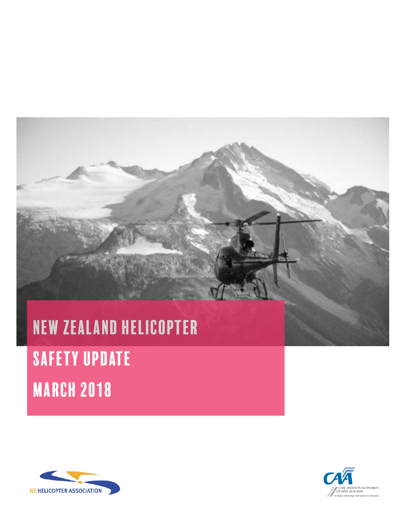# New Zealand helicopter **SAFETY UPDATE** MARCH 2018



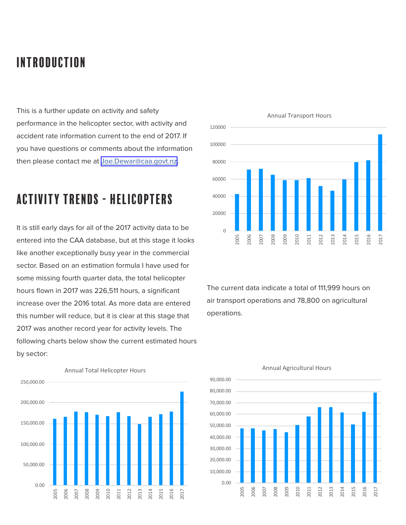# introduction

This is a further update on activity and safety performance in the helicopter sector, with activity and accident rate information current to the end of 2017. If you have questions or comments about the information then please contact me at [Joe.Dewar@caa.govt.nz](mailto:Joe.Dewar%40caa.govt.nz?subject=NZ%20AAA%20Update).

### activity trends - helicopters

It is still early days for all of the 2017 activity data to be entered into the CAA database, but at this stage it looks like another exceptionally busy year in the commercial sector. Based on an estimation formula I have used for some missing fourth quarter data, the total helicopter hours flown in 2017 was 226,511 hours, a significant increase over the 2016 total. As more data are entered this number will reduce, but it is clear at this stage that 2017 was another record year for activity levels. The following charts below show the current estimated hours by sector:





The current data indicate a total of 111,999 hours on air transport operations and 78,800 on agricultural operations.



### Annual Agricultural Hours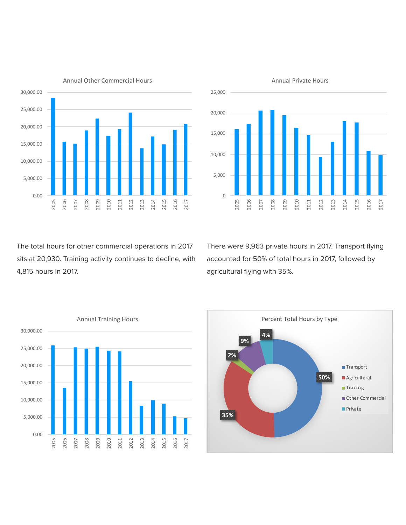

Annual Other Commercial Hours



The total hours for other commercial operations in 2017 sits at 20,930. Training activity continues to decline, with 4,815 hours in 2017.

There were 9,963 private hours in 2017. Transport flying accounted for 50% of total hours in 2017, followed by agricultural flying with 35%.



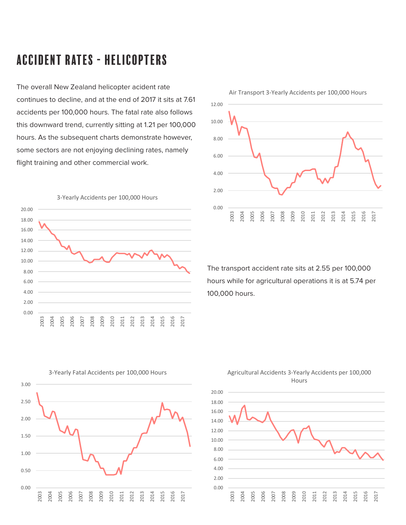# accident rates - helicopters

The overall New Zealand helicopter acident rate continues to decline, and at the end of 2017 it sits at 7.61 accidents per 100,000 hours. The fatal rate also follows this downward trend, currently sitting at 1.21 per 100,000 hours. As the subsequent charts demonstrate however, some sectors are not enjoying declining rates, namely flight training and other commercial work.





The transport accident rate sits at 2.55 per 100,000 hours while for agricultural operations it is at 5.74 per 100,000 hours.



3-Yearly Fatal Accidents per 100,000 Hours



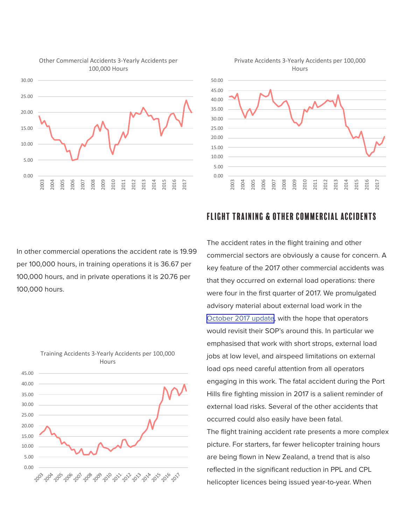

#### Other Commercial Accidents 3-Yearly Accidents per 100,000 Hours



In other commercial operations the accident rate is 19.99 per 100,000 hours, in training operations it is 36.67 per 100,000 hours, and in private operations it is 20.76 per 100,000 hours.



# Training Accidents 3-Yearly Accidents per 100,000

### flight training & Other Commercial accidents

The accident rates in the flight training and other commercial sectors are obviously a cause for concern. A key feature of the 2017 other commercial accidents was that they occurred on external load operations: there were four in the first quarter of 2017. We promulgated advisory material about external load work in the [October 2017 update,](https://www.aia.org.nz/Divisions/rotor.co.nz/Safety+Bulletins.html) with the hope that operators would revisit their SOP's around this. In particular we emphasised that work with short strops, external load jobs at low level, and airspeed limitations on external load ops need careful attention from all operators engaging in this work. The fatal accident during the Port Hills fire fighting mission in 2017 is a salient reminder of external load risks. Several of the other accidents that occurred could also easily have been fatal. The flight training accident rate presents a more complex picture. For starters, far fewer helicopter training hours are being flown in New Zealand, a trend that is also reflected in the significant reduction in PPL and CPL helicopter licences being issued year-to-year. When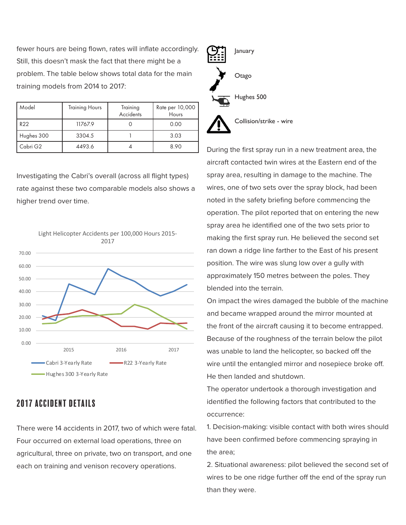fewer hours are being flown, rates will inflate accordingly. Still, this doesn't mask the fact that there might be a problem. The table below shows total data for the main training models from 2014 to 2017:

| Model      | <b>Training Hours</b> | Training<br>Accidents | Rate per 10,000<br>Hours |
|------------|-----------------------|-----------------------|--------------------------|
| R22        | 11767.9               |                       | 0.00                     |
| Hughes 300 | 3304.5                |                       | 3.03                     |
| Cabri G2   | 4493.6                |                       | 8.90                     |

Investigating the Cabri's overall (across all flight types) rate against these two comparable models also shows a higher trend over time.



### 2017 accident details

There were 14 accidents in 2017, two of which were fatal. Four occurred on external load operations, three on agricultural, three on private, two on transport, and one each on training and venison recovery operations.



Collision/strike - wire

During the first spray run in a new treatment area, the aircraft contacted twin wires at the Eastern end of the spray area, resulting in damage to the machine. The wires, one of two sets over the spray block, had been noted in the safety briefing before commencing the operation. The pilot reported that on entering the new spray area he identified one of the two sets prior to making the first spray run. He believed the second set ran down a ridge line farther to the East of his present position. The wire was slung low over a gully with approximately 150 metres between the poles. They blended into the terrain.

On impact the wires damaged the bubble of the machine and became wrapped around the mirror mounted at the front of the aircraft causing it to become entrapped. Because of the roughness of the terrain below the pilot was unable to land the helicopter, so backed off the wire until the entangled mirror and nosepiece broke off. He then landed and shutdown.

The operator undertook a thorough investigation and identified the following factors that contributed to the occurrence:

1. Decision-making: visible contact with both wires should have been confirmed before commencing spraying in the area;

2. Situational awareness: pilot believed the second set of wires to be one ridge further off the end of the spray run than they were.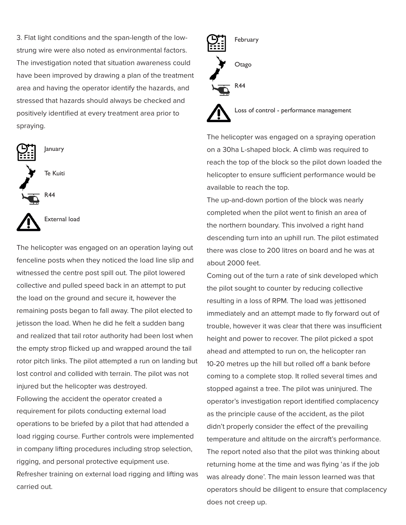3. Flat light conditions and the span-length of the lowstrung wire were also noted as environmental factors. The investigation noted that situation awareness could have been improved by drawing a plan of the treatment area and having the operator identify the hazards, and stressed that hazards should always be checked and positively identified at every treatment area prior to spraying.



The helicopter was engaged on an operation laying out fenceline posts when they noticed the load line slip and witnessed the centre post spill out. The pilot lowered collective and pulled speed back in an attempt to put the load on the ground and secure it, however the remaining posts began to fall away. The pilot elected to jetisson the load. When he did he felt a sudden bang and realized that tail rotor authority had been lost when the empty strop flicked up and wrapped around the tail rotor pitch links. The pilot attempted a run on landing but lost control and collided with terrain. The pilot was not injured but the helicopter was destroyed.

Following the accident the operator created a requirement for pilots conducting external load operations to be briefed by a pilot that had attended a load rigging course. Further controls were implemented in company lifting procedures including strop selection, rigging, and personal protective equipment use. Refresher training on external load rigging and lifting was carried out.



Loss of control - performance management

The helicopter was engaged on a spraying operation on a 30ha L-shaped block. A climb was required to reach the top of the block so the pilot down loaded the helicopter to ensure sufficient performance would be available to reach the top.

The up-and-down portion of the block was nearly completed when the pilot went to finish an area of the northern boundary. This involved a right hand descending turn into an uphill run. The pilot estimated there was close to 200 litres on board and he was at about 2000 feet.

Coming out of the turn a rate of sink developed which the pilot sought to counter by reducing collective resulting in a loss of RPM. The load was jettisoned immediately and an attempt made to fly forward out of trouble, however it was clear that there was insufficient height and power to recover. The pilot picked a spot ahead and attempted to run on, the helicopter ran 10-20 metres up the hill but rolled off a bank before coming to a complete stop. It rolled several times and stopped against a tree. The pilot was uninjured. The operator's investigation report identified complacency as the principle cause of the accident, as the pilot didn't properly consider the effect of the prevailing temperature and altitude on the aircraft's performance. The report noted also that the pilot was thinking about returning home at the time and was flying 'as if the job was already done'. The main lesson learned was that operators should be diligent to ensure that complacency does not creep up.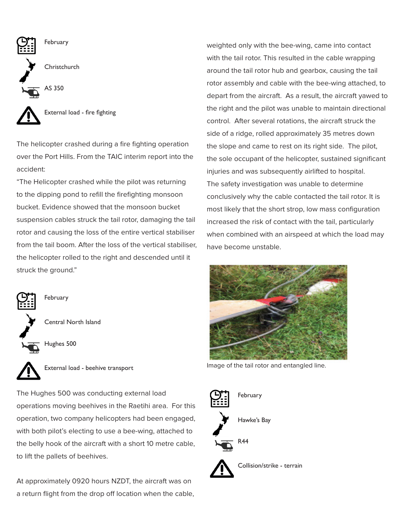

The helicopter crashed during a fire fighting operation over the Port Hills. From the TAIC interim report into the accident:

"The Helicopter crashed while the pilot was returning to the dipping pond to refill the firefighting monsoon bucket. Evidence showed that the monsoon bucket suspension cables struck the tail rotor, damaging the tail rotor and causing the loss of the entire vertical stabiliser from the tail boom. After the loss of the vertical stabiliser, the helicopter rolled to the right and descended until it struck the ground."



**February** 

Central North Island





The Hughes 500 was conducting external load operations moving beehives in the Raetihi area. For this operation, two company helicopters had been engaged, with both pilot's electing to use a bee-wing, attached to the belly hook of the aircraft with a short 10 metre cable, to lift the pallets of beehives.

At approximately 0920 hours NZDT, the aircraft was on a return flight from the drop off location when the cable, weighted only with the bee-wing, came into contact with the tail rotor. This resulted in the cable wrapping around the tail rotor hub and gearbox, causing the tail rotor assembly and cable with the bee-wing attached, to depart from the aircraft. As a result, the aircraft yawed to the right and the pilot was unable to maintain directional control. After several rotations, the aircraft struck the side of a ridge, rolled approximately 35 metres down the slope and came to rest on its right side. The pilot, the sole occupant of the helicopter, sustained significant injuries and was subsequently airlifted to hospital. The safety investigation was unable to determine conclusively why the cable contacted the tail rotor. It is most likely that the short strop, low mass configuration increased the risk of contact with the tail, particularly when combined with an airspeed at which the load may have become unstable.



Image of the tail rotor and entangled line.

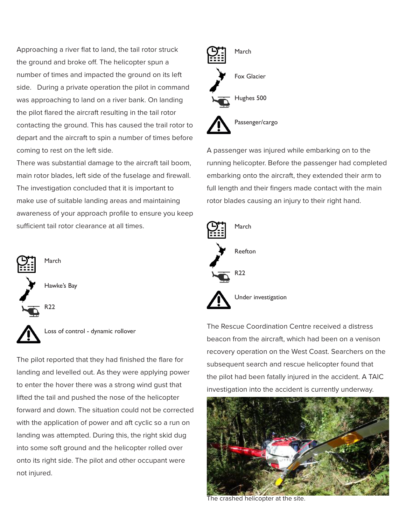Approaching a river flat to land, the tail rotor struck the ground and broke off. The helicopter spun a number of times and impacted the ground on its left side. During a private operation the pilot in command was approaching to land on a river bank. On landing the pilot flared the aircraft resulting in the tail rotor contacting the ground. This has caused the trail rotor to depart and the aircraft to spin a number of times before coming to rest on the left side.

There was substantial damage to the aircraft tail boom, main rotor blades, left side of the fuselage and firewall. The investigation concluded that it is important to make use of suitable landing areas and maintaining awareness of your approach profile to ensure you keep sufficient tail rotor clearance at all times.



Loss of control - dynamic rollover

The pilot reported that they had finished the flare for landing and levelled out. As they were applying power to enter the hover there was a strong wind gust that lifted the tail and pushed the nose of the helicopter forward and down. The situation could not be corrected with the application of power and aft cyclic so a run on landing was attempted. During this, the right skid dug into some soft ground and the helicopter rolled over onto its right side. The pilot and other occupant were not injured.



A passenger was injured while embarking on to the running helicopter. Before the passenger had completed embarking onto the aircraft, they extended their arm to full length and their fingers made contact with the main rotor blades causing an injury to their right hand.



The Rescue Coordination Centre received a distress beacon from the aircraft, which had been on a venison recovery operation on the West Coast. Searchers on the subsequent search and rescue helicopter found that the pilot had been fatally injured in the accident. A TAIC investigation into the accident is currently underway.



The crashed helicopter at the site.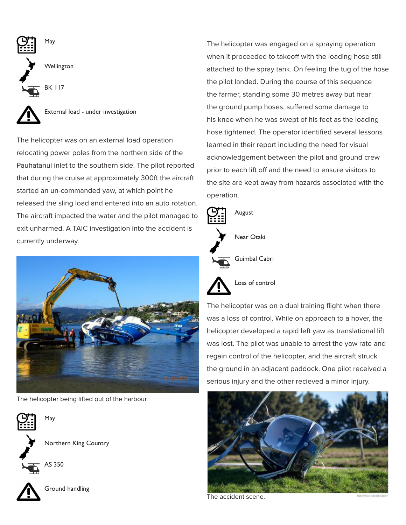

External load - under investigation

The helicopter was on an external load operation relocating power poles from the northern side of the Pauhatanui inlet to the southern side. The pilot reported that during the cruise at approximately 300ft the aircraft started an un-commanded yaw, at which point he released the sling load and entered into an auto rotation. The aircraft impacted the water and the pilot managed to exit unharmed. A TAIC investigation into the accident is currently underway.



The helicopter being lifted out of the harbour.



Northern King Country



May



Ground handling

The helicopter was engaged on a spraying operation when it proceeded to takeoff with the loading hose still attached to the spray tank. On feeling the tug of the hose the pilot landed. During the course of this sequence the farmer, standing some 30 metres away but near the ground pump hoses, suffered some damage to his knee when he was swept of his feet as the loading hose tightened. The operator identified several lessons learned in their report including the need for visual acknowledgement between the pilot and ground crew prior to each lift off and the need to ensure visitors to the site are kept away from hazards associated with the operation.



Loss of control

The helicopter was on a dual training flight when there was a loss of control. While on approach to a hover, the helicopter developed a rapid left yaw as translational lift was lost. The pilot was unable to arrest the yaw rate and regain control of the helicopter, and the aircraft struck the ground in an adjacent paddock. One pilot received a serious injury and the other recieved a minor injury.



The accident scene.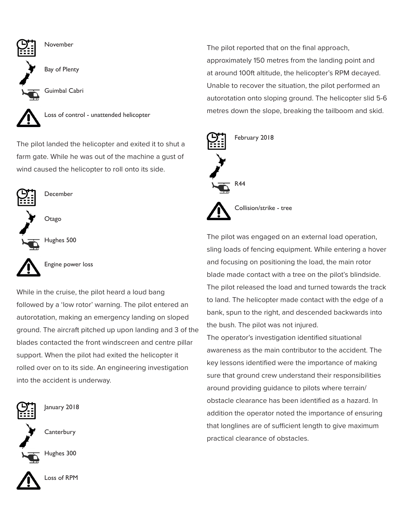

The pilot landed the helicopter and exited it to shut a farm gate. While he was out of the machine a gust of wind caused the helicopter to roll onto its side.



December

**Otago** 

Hughes 500



Engine power loss

While in the cruise, the pilot heard a loud bang followed by a 'low rotor' warning. The pilot entered an autorotation, making an emergency landing on sloped ground. The aircraft pitched up upon landing and 3 of the blades contacted the front windscreen and centre pillar support. When the pilot had exited the helicopter it rolled over on to its side. An engineering investigation into the accident is underway.



January 2018

**Canterbury** 



Hughes 300



The pilot reported that on the final approach, approximately 150 metres from the landing point and at around 100ft altitude, the helicopter's RPM decayed. Unable to recover the situation, the pilot performed an autorotation onto sloping ground. The helicopter slid 5-6 metres down the slope, breaking the tailboom and skid.



The pilot was engaged on an external load operation, sling loads of fencing equipment. While entering a hover and focusing on positioning the load, the main rotor blade made contact with a tree on the pilot's blindside. The pilot released the load and turned towards the track to land. The helicopter made contact with the edge of a bank, spun to the right, and descended backwards into the bush. The pilot was not injured.

The operator's investigation identified situational awareness as the main contributor to the accident. The key lessons identified were the importance of making sure that ground crew understand their responsibilities around providing guidance to pilots where terrain/ obstacle clearance has been identified as a hazard. In addition the operator noted the importance of ensuring that longlines are of sufficient length to give maximum practical clearance of obstacles.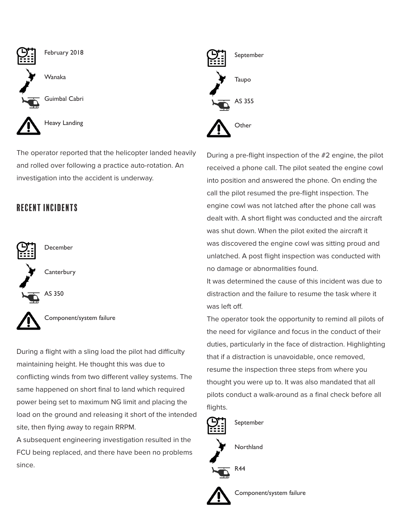

The operator reported that the helicopter landed heavily and rolled over following a practice auto-rotation. An investigation into the accident is underway.

### recent incidents



Component/system failure

During a flight with a sling load the pilot had difficulty maintaining height. He thought this was due to conflicting winds from two different valley systems. The same happened on short final to land which required power being set to maximum NG limit and placing the load on the ground and releasing it short of the intended site, then flying away to regain RRPM.

A subsequent engineering investigation resulted in the FCU being replaced, and there have been no problems since.



During a pre-flight inspection of the #2 engine, the pilot received a phone call. The pilot seated the engine cowl into position and answered the phone. On ending the call the pilot resumed the pre-flight inspection. The engine cowl was not latched after the phone call was dealt with. A short flight was conducted and the aircraft was shut down. When the pilot exited the aircraft it was discovered the engine cowl was sitting proud and unlatched. A post flight inspection was conducted with no damage or abnormalities found.

It was determined the cause of this incident was due to distraction and the failure to resume the task where it was left off.

The operator took the opportunity to remind all pilots of the need for vigilance and focus in the conduct of their duties, particularly in the face of distraction. Highlighting that if a distraction is unavoidable, once removed, resume the inspection three steps from where you thought you were up to. It was also mandated that all pilots conduct a walk-around as a final check before all flights.



Component/system failure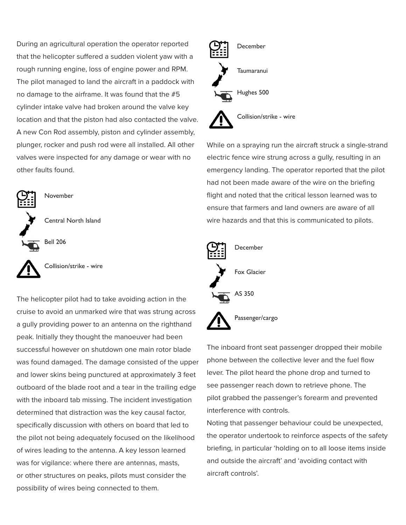During an agricultural operation the operator reported that the helicopter suffered a sudden violent yaw with a rough running engine, loss of engine power and RPM. The pilot managed to land the aircraft in a paddock with no damage to the airframe. It was found that the #5 cylinder intake valve had broken around the valve key location and that the piston had also contacted the valve. A new Con Rod assembly, piston and cylinder assembly, plunger, rocker and push rod were all installed. All other valves were inspected for any damage or wear with no other faults found.



**November** 

Central North Island



Collision/strike - wire

The helicopter pilot had to take avoiding action in the cruise to avoid an unmarked wire that was strung across a gully providing power to an antenna on the righthand peak. Initially they thought the manoeuver had been successful however on shutdown one main rotor blade was found damaged. The damage consisted of the upper and lower skins being punctured at approximately 3 feet outboard of the blade root and a tear in the trailing edge with the inboard tab missing. The incident investigation determined that distraction was the key causal factor, specifically discussion with others on board that led to the pilot not being adequately focused on the likelihood of wires leading to the antenna. A key lesson learned was for vigilance: where there are antennas, masts, or other structures on peaks, pilots must consider the possibility of wires being connected to them.



While on a spraying run the aircraft struck a single-strand electric fence wire strung across a gully, resulting in an emergency landing. The operator reported that the pilot had not been made aware of the wire on the briefing flight and noted that the critical lesson learned was to ensure that farmers and land owners are aware of all wire hazards and that this is communicated to pilots.



The inboard front seat passenger dropped their mobile phone between the collective lever and the fuel flow lever. The pilot heard the phone drop and turned to see passenger reach down to retrieve phone. The pilot grabbed the passenger's forearm and prevented interference with controls.

Noting that passenger behaviour could be unexpected, the operator undertook to reinforce aspects of the safety briefing, in particular 'holding on to all loose items inside and outside the aircraft' and 'avoiding contact with aircraft controls'.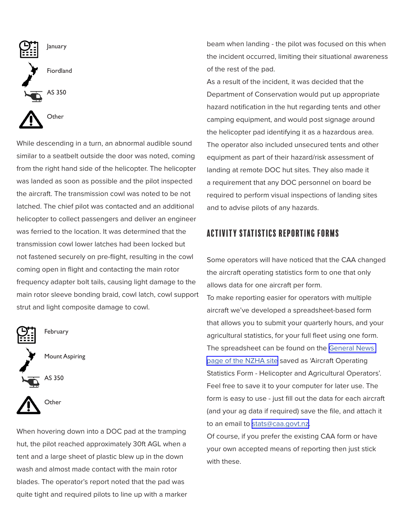

While descending in a turn, an abnormal audible sound similar to a seatbelt outside the door was noted, coming from the right hand side of the helicopter. The helicopter was landed as soon as possible and the pilot inspected the aircraft. The transmission cowl was noted to be not latched. The chief pilot was contacted and an additional helicopter to collect passengers and deliver an engineer was ferried to the location. It was determined that the transmission cowl lower latches had been locked but not fastened securely on pre-flight, resulting in the cowl coming open in flight and contacting the main rotor frequency adapter bolt tails, causing light damage to the main rotor sleeve bonding braid, cowl latch, cowl support strut and light composite damage to cowl.





February







When hovering down into a DOC pad at the tramping hut, the pilot reached approximately 30ft AGL when a tent and a large sheet of plastic blew up in the down wash and almost made contact with the main rotor blades. The operator's report noted that the pad was quite tight and required pilots to line up with a marker beam when landing - the pilot was focused on this when the incident occurred, limiting their situational awareness of the rest of the pad.

As a result of the incident, it was decided that the Department of Conservation would put up appropriate hazard notification in the hut regarding tents and other camping equipment, and would post signage around the helicopter pad identifying it as a hazardous area. The operator also included unsecured tents and other equipment as part of their hazard/risk assessment of landing at remote DOC hut sites. They also made it a requirement that any DOC personnel on board be required to perform visual inspections of landing sites and to advise pilots of any hazards.

### activity Statistics reporting forms

Some operators will have noticed that the CAA changed the aircraft operating statistics form to one that only allows data for one aircraft per form.

To make reporting easier for operators with multiple aircraft we've developed a spreadsheet-based form that allows you to submit your quarterly hours, and your agricultural statistics, for your full fleet using one form. The spreadsheet can be found on the [General News](https://www.aia.org.nz/Divisions/rotor.co.nz/General+News.html)  [page of the NZHA site](https://www.aia.org.nz/Divisions/rotor.co.nz/General+News.html) saved as 'Aircraft Operating Statistics Form - Helicopter and Agricultural Operators'. Feel free to save it to your computer for later use. The form is easy to use - just fill out the data for each aircraft (and your ag data if required) save the file, and attach it to an email to [stats@caa.govt.nz.](mailto:stats%40caa.govt.nz?subject=Aircraft%20operating%20statistics)

Of course, if you prefer the existing CAA form or have your own accepted means of reporting then just stick with these.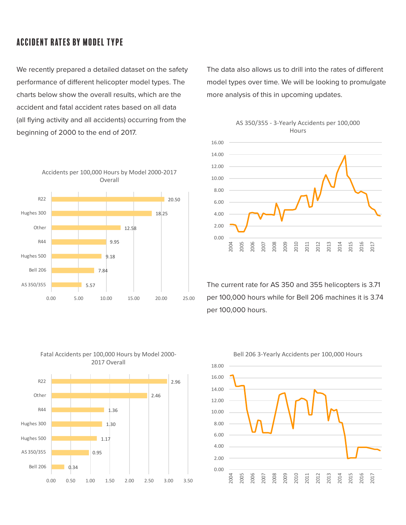### accident rates by model type

We recently prepared a detailed dataset on the safety performance of different helicopter model types. The charts below show the overall results, which are the accident and fatal accident rates based on all data (all flying activity and all accidents) occurring from the beginning of 2000 to the end of 2017.



Fatal Accidents per 100,000 Hours by Model 2000- 2017 Overall



The data also allows us to drill into the rates of different model types over time. We will be looking to promulgate more analysis of this in upcoming updates.





The current rate for AS 350 and 355 helicopters is 3.71 per 100,000 hours while for Bell 206 machines it is 3.74 per 100,000 hours.